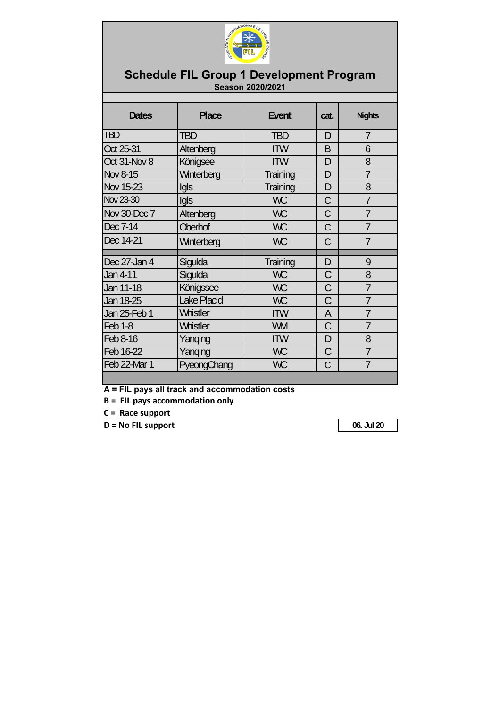

## **Schedule FIL Group 1 Development Program Season 2020/2021**

| <b>Dates</b>   | <b>Place</b> | Event           | cat.          | <b>Nights</b>  |
|----------------|--------------|-----------------|---------------|----------------|
| <b>TBD</b>     | TBD          | <b>TBD</b>      | D             | $\overline{7}$ |
| Oct 25-31      | Altenberg    | <b>ITW</b>      | B             | 6              |
| Oct 31-Nov 8   | Königsee     | <b>ITW</b>      | D             | 8              |
| Nov 8-15       | Winterberg   | Training        | D             | $\overline{7}$ |
| Nov 15-23      | Igls         | Training        | D             | 8              |
| Nov 23-30      | Igls         | <b>WC</b>       | $\mathcal{C}$ | $\overline{7}$ |
| Nov 30-Dec 7   | Altenberg    | <b>WC</b>       | C             | $\overline{7}$ |
| Dec 7-14       | Oberhof      | <b>WC</b>       | $\mathcal{C}$ | $\overline{1}$ |
| Dec 14-21      | Winterberg   | <b>WC</b>       | C             | $\overline{7}$ |
|                |              |                 |               |                |
| Dec 27-Jan 4   | Sigulda      | <b>Training</b> | D             | 9              |
| Jan 4-11       | Sigulda      | <b>WC</b>       | $\mathcal{C}$ | 8              |
| Jan 11-18      | Königssee    | <b>WC</b>       | $\mathcal{C}$ | $\overline{1}$ |
| Jan 18-25      | Lake Placid  | <b>WC</b>       | $\mathcal{C}$ | 7              |
| Jan 25-Feb 1   | Whistler     | <b>ITW</b>      | A             | $\overline{1}$ |
| <b>Feb 1-8</b> | Whistler     | <b>WM</b>       | C             | $\overline{7}$ |
| Feb 8-16       | Yanqing      | <b>ITW</b>      | D             | 8              |
| Feb 16-22      | Yanqing      | <b>WC</b>       | C             | $\overline{1}$ |
| Feb 22-Mar 1   | PyeongChang  | <b>WC</b>       | C             | $\overline{7}$ |
|                |              |                 |               |                |

**A = FIL pays all track and accommodation costs**

**B = FIL pays accommodation only**

**C = Race support**

**D = No FIL support 06. Jul 20**